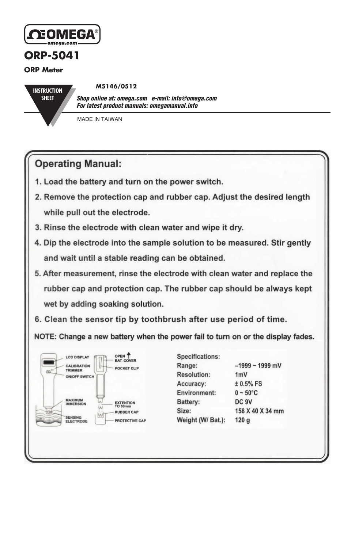

## **ORP-5041**

**ORP Meter**

**INSTRUCTION SHEET**

**M5146/0512**

*Shop online at: omega.com e-mail: info@omega.com For latest product manuals: omegamanual.info*

MADE IN TAIWAN

## **Operating Manual:**

- 1. Load the battery and turn on the power switch.
- 2. Remove the protection cap and rubber cap. Adjust the desired length while pull out the electrode.
- 3. Rinse the electrode with clean water and wipe it dry.
- 4. Dip the electrode into the sample solution to be measured. Stir gently and wait until a stable reading can be obtained.
- 5. After measurement, rinse the electrode with clean water and replace the rubber cap and protection cap. The rubber cap should be always kept wet by adding soaking solution.
- 6. Clean the sensor tip by toothbrush after use period of time.

NOTE: Change a new battery when the power fail to turn on or the display fades.



| Specifications:     |                    |  |  |
|---------------------|--------------------|--|--|
| Range:              | $-1999 - 1999$ mV  |  |  |
| <b>Resolution:</b>  | 1mV                |  |  |
| Accuracy:           | $± 0.5%$ FS        |  |  |
| <b>Environment:</b> | $0 - 50^{\circ}$ C |  |  |
| Battery:            | DC 9V              |  |  |
| Size:               | 158 X 40 X 34 mm   |  |  |
| Weight (W/ Bat.):   | 120q               |  |  |